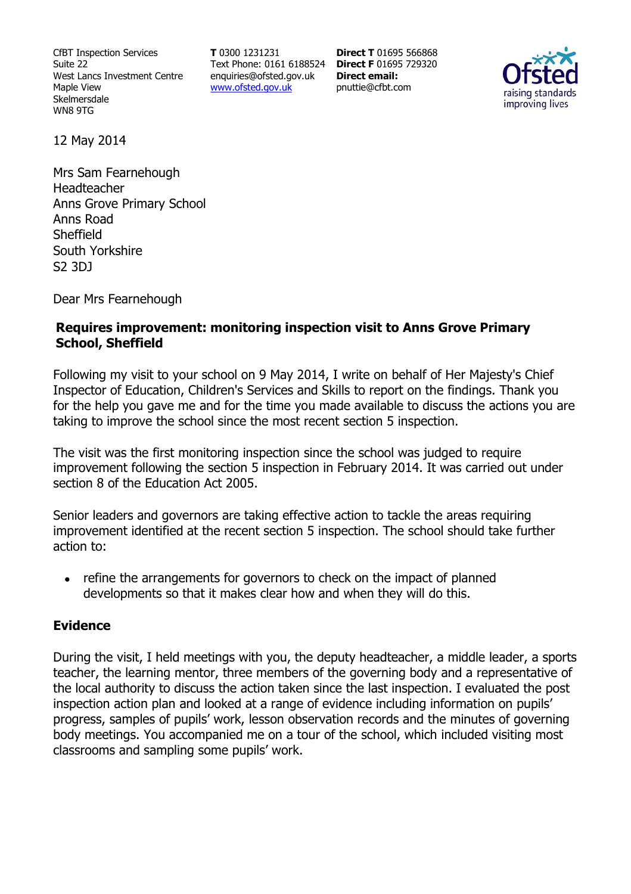CfBT Inspection Services Suite 22 West Lancs Investment Centre Maple View Skelmersdale WN8 9TG

**T** 0300 1231231 Text Phone: 0161 6188524 **Direct F** 01695 729320 enquiries@ofsted.gov.uk www.ofsted.gov.uk

**Direct T** 01695 566868 **Direct email:**  pnuttie@cfbt.com



12 May 2014

Mrs Sam Fearnehough **Headteacher** Anns Grove Primary School Anns Road **Sheffield** South Yorkshire S2 3DJ

Dear Mrs Fearnehough

#### **Requires improvement: monitoring inspection visit to Anns Grove Primary School, Sheffield**

Following my visit to your school on 9 May 2014, I write on behalf of Her Majesty's Chief Inspector of Education, Children's Services and Skills to report on the findings. Thank you for the help you gave me and for the time you made available to discuss the actions you are taking to improve the school since the most recent section 5 inspection.

The visit was the first monitoring inspection since the school was judged to require improvement following the section 5 inspection in February 2014. It was carried out under section 8 of the Education Act 2005.

Senior leaders and governors are taking effective action to tackle the areas requiring improvement identified at the recent section 5 inspection. The school should take further action to:

• refine the arrangements for governors to check on the impact of planned developments so that it makes clear how and when they will do this.

### **Evidence**

During the visit, I held meetings with you, the deputy headteacher, a middle leader, a sports teacher, the learning mentor, three members of the governing body and a representative of the local authority to discuss the action taken since the last inspection. I evaluated the post inspection action plan and looked at a range of evidence including information on pupils' progress, samples of pupils' work, lesson observation records and the minutes of governing body meetings. You accompanied me on a tour of the school, which included visiting most classrooms and sampling some pupils' work.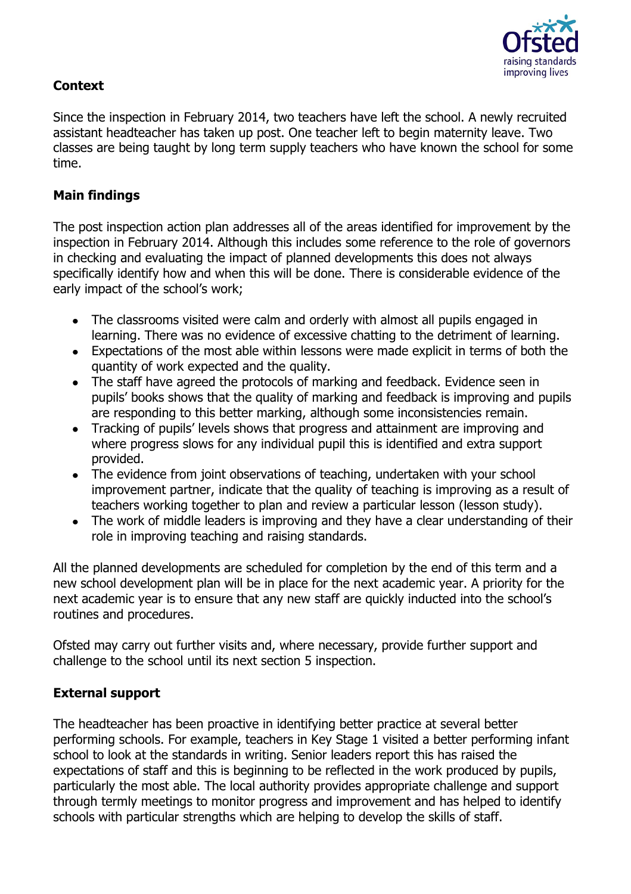

# **Context**

Since the inspection in February 2014, two teachers have left the school. A newly recruited assistant headteacher has taken up post. One teacher left to begin maternity leave. Two classes are being taught by long term supply teachers who have known the school for some time.

## **Main findings**

The post inspection action plan addresses all of the areas identified for improvement by the inspection in February 2014. Although this includes some reference to the role of governors in checking and evaluating the impact of planned developments this does not always specifically identify how and when this will be done. There is considerable evidence of the early impact of the school's work;

- The classrooms visited were calm and orderly with almost all pupils engaged in learning. There was no evidence of excessive chatting to the detriment of learning.
- Expectations of the most able within lessons were made explicit in terms of both the quantity of work expected and the quality.
- The staff have agreed the protocols of marking and feedback. Evidence seen in pupils' books shows that the quality of marking and feedback is improving and pupils are responding to this better marking, although some inconsistencies remain.
- Tracking of pupils' levels shows that progress and attainment are improving and where progress slows for any individual pupil this is identified and extra support provided.
- The evidence from joint observations of teaching, undertaken with your school improvement partner, indicate that the quality of teaching is improving as a result of teachers working together to plan and review a particular lesson (lesson study).
- The work of middle leaders is improving and they have a clear understanding of their role in improving teaching and raising standards.

All the planned developments are scheduled for completion by the end of this term and a new school development plan will be in place for the next academic year. A priority for the next academic year is to ensure that any new staff are quickly inducted into the school's routines and procedures.

Ofsted may carry out further visits and, where necessary, provide further support and challenge to the school until its next section 5 inspection.

### **External support**

The headteacher has been proactive in identifying better practice at several better performing schools. For example, teachers in Key Stage 1 visited a better performing infant school to look at the standards in writing. Senior leaders report this has raised the expectations of staff and this is beginning to be reflected in the work produced by pupils, particularly the most able. The local authority provides appropriate challenge and support through termly meetings to monitor progress and improvement and has helped to identify schools with particular strengths which are helping to develop the skills of staff.